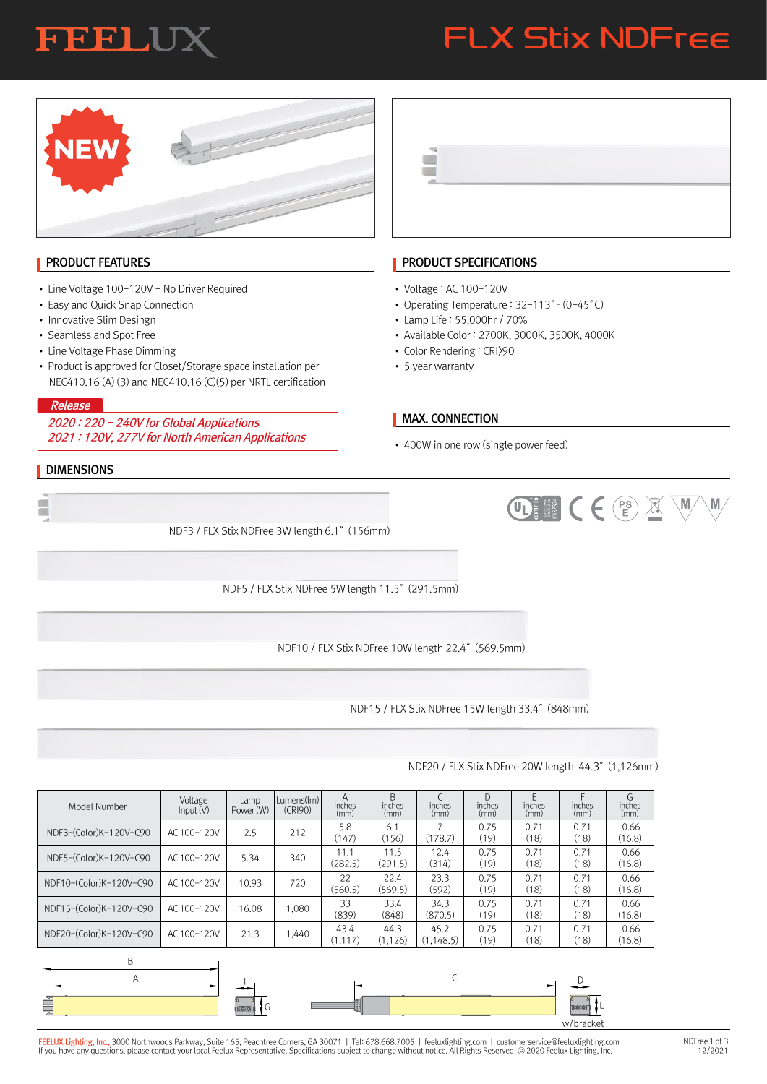### **FEELUX**

# FLX Stix NDFree

UII CE E X W

 $\langle M \rangle$ 



### **PRODUCT FEATURES**

- Line Voltage 100-120V No Driver Required
- Easy and Quick Snap Connection
- Innovative Slim Desingn
- Seamless and Spot Free
- Line Voltage Phase Dimming
- Product is approved for Closet/Storage space installation per NEC410.16 (A) (3) and NEC410.16 (C)(5) per NRTL certification

#### Release

2020 : 220 - 240V for Global Applications 2021 : 120V, 277V for North American Applications

#### **DIMENSIONS**



#### **PRODUCT SPECIFICATIONS**

- Voltage : AC 100-120V
- Operating Temperature : 32-113°F (0-45°C)
- Lamp Life : 55,000hr / 70%
- Available Color : 2700K, 3000K, 3500K, 4000K
- Color Rendering : CRI>90
- 5 year warranty

#### **MAX. CONNECTION**

• 400W in one row (single power feed)

NDF3 / FLX Stix NDFree 3W length 6.1″(156mm)

NDF5 / FLX Stix NDFree 5W length 11.5″(291.5mm)

NDF10 / FLX Stix NDFree 10W length 22.4″(569.5mm)

NDF15 / FLX Stix NDFree 15W length 33.4″(848mm)

#### NDF3-(Color)K-120V-C90 NDF5-(Color)K-120V-C90 NDF10-(Color)K-120V-C90 NDF15-(Color)K-120V-C90 NDF20-(Color)K-120V-C90 AC 100-120V AC 100-120V AC 100-120V AC 100-120V AC 100-120V 2.5 5.34 10.93 16.08 21.3 Model Number Voltage<br>Input (V) Lamp Power (W) A inches (mm) D inches (mm) 11.1 (282.5) 5.8 (147) 0.75 (19) 0.75 (19) 11.5 (291.5) 6.1 (156) 0.71 (18) 0.71 (18) 12.4 (314) 7 (178.7) 0.71 (18) 0.71 (18) 0.66 (16.8) 0.66 (16.8) 22 (560.5) 0.75 (19) 22.4 (569.5) 0.71 (18) 23.3 (592) 0.71 (18) 0.66 (16.8) 33 (839) 0.75 (19) 33.4 (848) 0.71 (18) 34.3 (870.5) 0.71 (18) 0.66  $(16.8)$ 43.4 (1,117) 0.75 (19) 44.3 (1,126) 0.71 (18) 45.2 (1,148.5) 0.71 (18) 0.66 (16.8) B inches (mm) E inches (mm) C inches (mm) F inches (mm) G inches (mm) 212 340 720 1,080 1,440 Lumens(lm) (CRI90)



### F<mark>EELUX Lighting, Inc.,</mark> 3000 Northwoods Parkway, Suite 165, Peachtree Corners, GA 30071 | Tel: 678.668.7005 | feeluxlighting.com | customerservice@feeluxlighting.com<br>If you have any questions, please contact your local Fe

#### NDFree 1 of 3 12/2021

#### NDF20 / FLX Stix NDFree 20W length 44.3″(1,126mm)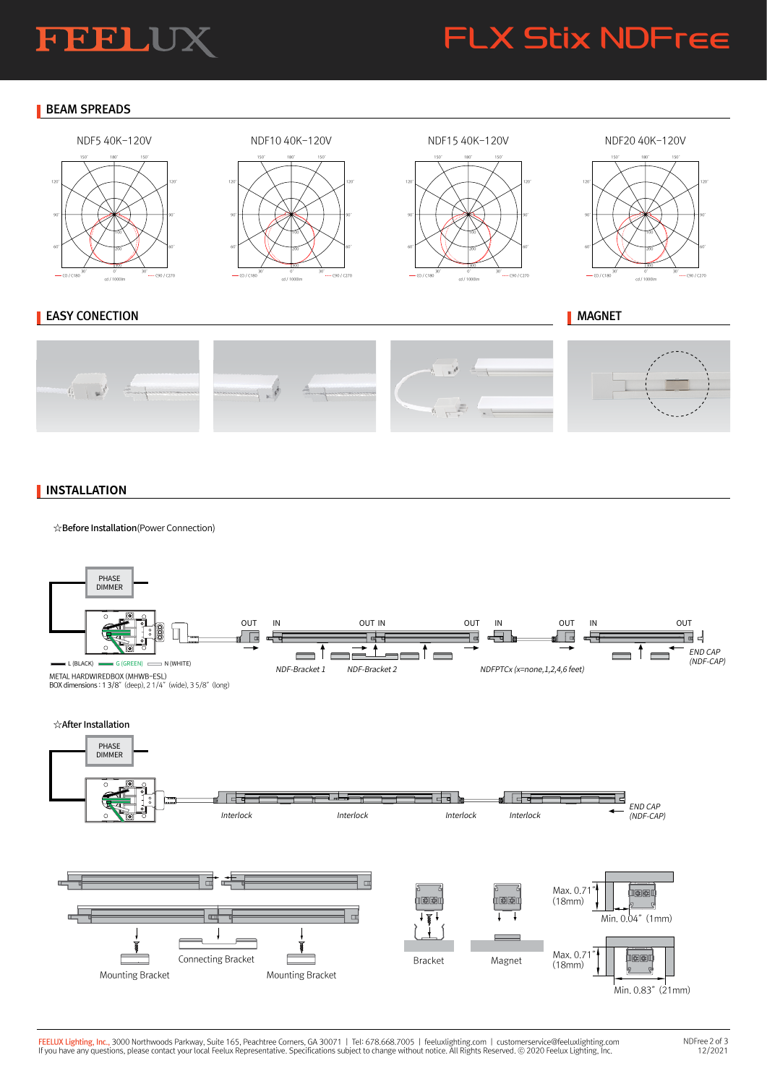### **FEELUX**

### FLX Stix NDFree

#### **BEAM SPREADS**









#### **EASY CONECTION**



#### **INSTALLATION**

☆Before Installation(Power Connection)